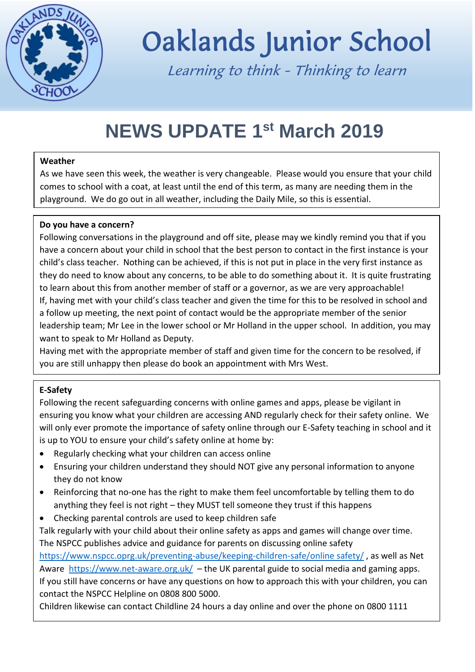

# Oaklands Junior School

Learning to think - Thinking to learn

# **NEWS UPDATE 1st March 2019**

### **Weather**

As we have seen this week, the weather is very changeable. Please would you ensure that your child comes to school with a coat, at least until the end of this term, as many are needing them in the playground. We do go out in all weather, including the Daily Mile, so this is essential.

## **Do you have a concern?**

Following conversations in the playground and off site, please may we kindly remind you that if you have a concern about your child in school that the best person to contact in the first instance is your child's class teacher. Nothing can be achieved, if this is not put in place in the very first instance as they do need to know about any concerns, to be able to do something about it. It is quite frustrating to learn about this from another member of staff or a governor, as we are very approachable! If, having met with your child's class teacher and given the time for this to be resolved in school and a follow up meeting, the next point of contact would be the appropriate member of the senior leadership team; Mr Lee in the lower school or Mr Holland in the upper school. In addition, you may want to speak to Mr Holland as Deputy.

Having met with the appropriate member of staff and given time for the concern to be resolved, if you are still unhappy then please do book an appointment with Mrs West.

Parent governors are there to help and would like to know what is happening but will, as a matter of

# **E-Safety** routine, ask if you have followed the followed this correct procedure.

Following the recent safeguarding concerns with online games and apps, please be vigilant in ensuring you know what your children are accessing AND regularly check for their safety online. We will only ever promote the importance of safety online through our E-Safety teaching in school and it is up to YOU to ensure your child's safety online at home by:

- Regularly checking what your children can access online
- Ensuring your children understand they should NOT give any personal information to anyone they do not know
- Reinforcing that no-one has the right to make them feel uncomfortable by telling them to do anything they feel is not right – they MUST tell someone they trust if this happens
- Checking parental controls are used to keep children safe

Talk regularly with your child about their online safety as apps and games will change over time. The NSPCC publishes advice and guidance for parents on discussing online safety

[https://www.nspcc.oprg.uk/preventing-abuse/keeping-children-safe/online safety/](https://www.nspcc.oprg.uk/preventing-abuse/keeping-children-safe/online%20safety/) , as well as Net Aware <https://www.net-aware.org.uk/>- the UK parental guide to social media and gaming apps. If you still have concerns or have any questions on how to approach this with your children, you can contact the NSPCC Helpline on 0808 800 5000.

Children likewise can contact Childline 24 hours a day online and over the phone on 0800 1111